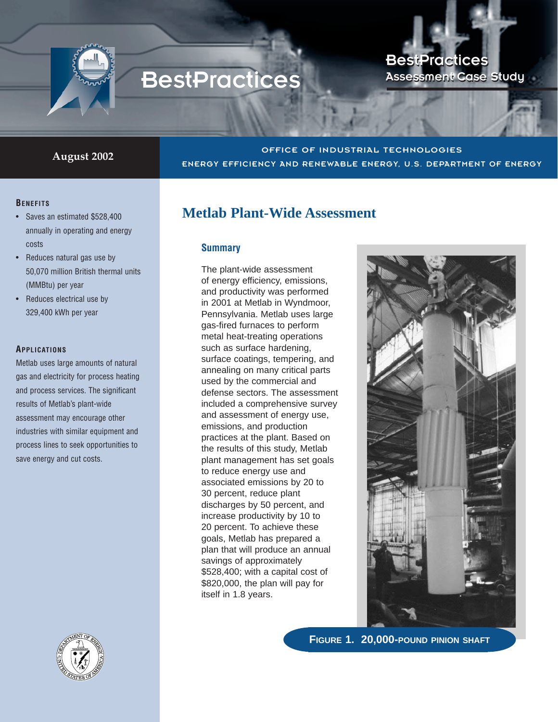

# **BestPractices**

## BestPractices BestPractices Assessment Case Study Assessment Case Study

### **August 2002** OFFICE OF INDUSTRIAL TECHNOLOGIES ENERGY EFFICIENCY AND RENEWABLE ENERGY, U.S. DEPARTMENT OF ENERGY

#### **BENEFITS**

- Saves an estimated \$528,400 annually in operating and energy costs
- Reduces natural gas use by 50,070 million British thermal units (MMBtu) per year
- Reduces electrical use by 329,400 kWh per year

#### **APPLICATIONS**

Metlab uses large amounts of natural gas and electricity for process heating and process services. The significant results of Metlab's plant-wide assessment may encourage other industries with similar equipment and process lines to seek opportunities to save energy and cut costs.



## **Metlab Plant-Wide Assessment**

#### **Summary**

The plant-wide assessment of energy efficiency, emissions, and productivity was performed in 2001 at Metlab in Wyndmoor, Pennsylvania. Metlab uses large gas-fired furnaces to perform metal heat-treating operations such as surface hardening, surface coatings, tempering, and annealing on many critical parts used by the commercial and defense sectors. The assessment included a comprehensive survey and assessment of energy use, emissions, and production practices at the plant. Based on the results of this study, Metlab plant management has set goals to reduce energy use and associated emissions by 20 to 30 percent, reduce plant discharges by 50 percent, and increase productivity by 10 to 20 percent. To achieve these goals, Metlab has prepared a plan that will produce an annual savings of approximately \$528,400; with a capital cost of \$820,000, the plan will pay for itself in 1.8 years.



**FIGURE 1. 20,000-POUND PINION SHAFT**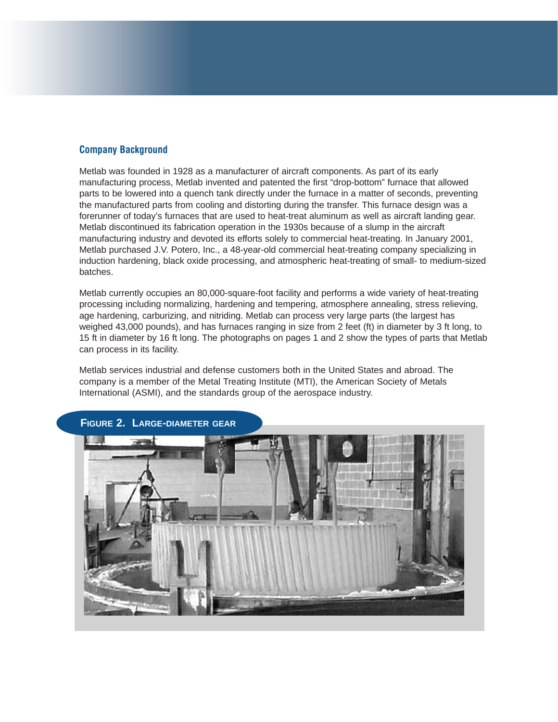#### **Company Background**

Metlab was founded in 1928 as a manufacturer of aircraft components. As part of its early manufacturing process, Metlab invented and patented the first "drop-bottom" furnace that allowed parts to be lowered into a quench tank directly under the furnace in a matter of seconds, preventing the manufactured parts from cooling and distorting during the transfer. This furnace design was a forerunner of today's furnaces that are used to heat-treat aluminum as well as aircraft landing gear. Metlab discontinued its fabrication operation in the 1930s because of a slump in the aircraft manufacturing industry and devoted its efforts solely to commercial heat-treating. In January 2001, Metlab purchased J.V. Potero, Inc., a 48-year-old commercial heat-treating company specializing in induction hardening, black oxide processing, and atmospheric heat-treating of small- to medium-sized batches.

Metlab currently occupies an 80,000-square-foot facility and performs a wide variety of heat-treating processing including normalizing, hardening and tempering, atmosphere annealing, stress relieving, age hardening, carburizing, and nitriding. Metlab can process very large parts (the largest has weighed 43,000 pounds), and has furnaces ranging in size from 2 feet (ft) in diameter by 3 ft long, to 15 ft in diameter by 16 ft long. The photographs on pages 1 and 2 show the types of parts that Metlab can process in its facility.

Metlab services industrial and defense customers both in the United States and abroad. The company is a member of the Metal Treating Institute (MTI), the American Society of Metals International (ASMI), and the standards group of the aerospace industry.

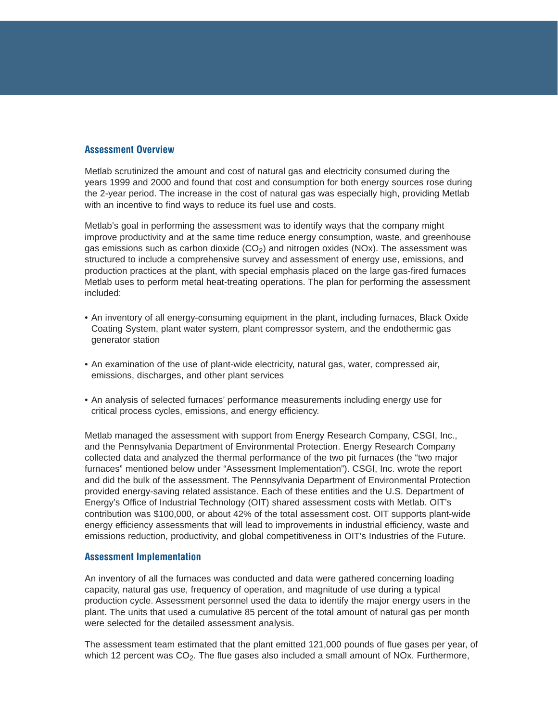#### **Assessment Overview**

Metlab scrutinized the amount and cost of natural gas and electricity consumed during the years 1999 and 2000 and found that cost and consumption for both energy sources rose during the 2-year period. The increase in the cost of natural gas was especially high, providing Metlab with an incentive to find ways to reduce its fuel use and costs.

Metlab's goal in performing the assessment was to identify ways that the company might improve productivity and at the same time reduce energy consumption, waste, and greenhouse gas emissions such as carbon dioxide  $(CO<sub>2</sub>)$  and nitrogen oxides (NOx). The assessment was structured to include a comprehensive survey and assessment of energy use, emissions, and production practices at the plant, with special emphasis placed on the large gas-fired furnaces Metlab uses to perform metal heat-treating operations. The plan for performing the assessment included:

- An inventory of all energy-consuming equipment in the plant, including furnaces, Black Oxide Coating System, plant water system, plant compressor system, and the endothermic gas generator station
- An examination of the use of plant-wide electricity, natural gas, water, compressed air, emissions, discharges, and other plant services
- An analysis of selected furnaces' performance measurements including energy use for critical process cycles, emissions, and energy efficiency.

Metlab managed the assessment with support from Energy Research Company, CSGI, Inc., and the Pennsylvania Department of Environmental Protection. Energy Research Company collected data and analyzed the thermal performance of the two pit furnaces (the "two major furnaces" mentioned below under "Assessment Implementation"). CSGI, Inc. wrote the report and did the bulk of the assessment. The Pennsylvania Department of Environmental Protection provided energy-saving related assistance. Each of these entities and the U.S. Department of Energy's Office of Industrial Technology (OIT) shared assessment costs with Metlab. OIT's contribution was \$100,000, or about 42% of the total assessment cost. OIT supports plant-wide energy efficiency assessments that will lead to improvements in industrial efficiency, waste and emissions reduction, productivity, and global competitiveness in OIT's Industries of the Future.

#### **Assessment Implementation**

An inventory of all the furnaces was conducted and data were gathered concerning loading capacity, natural gas use, frequency of operation, and magnitude of use during a typical production cycle. Assessment personnel used the data to identify the major energy users in the plant. The units that used a cumulative 85 percent of the total amount of natural gas per month were selected for the detailed assessment analysis.

The assessment team estimated that the plant emitted 121,000 pounds of flue gases per year, of which 12 percent was  $CO<sub>2</sub>$ . The flue gases also included a small amount of NOx. Furthermore,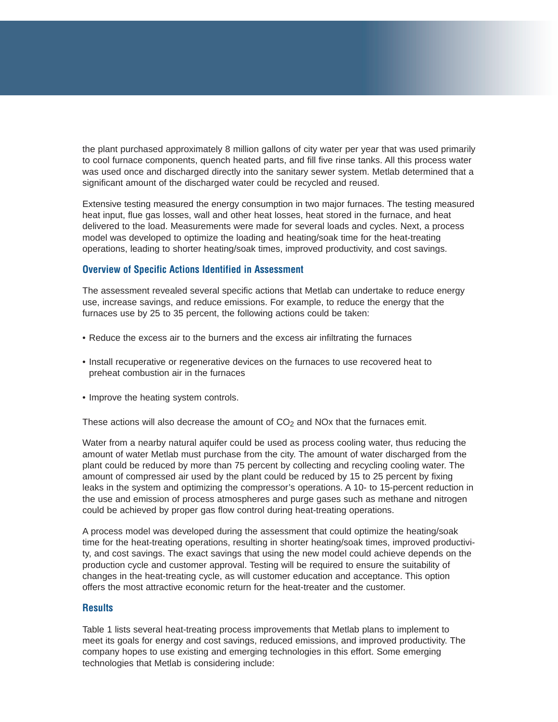the plant purchased approximately 8 million gallons of city water per year that was used primarily to cool furnace components, quench heated parts, and fill five rinse tanks. All this process water was used once and discharged directly into the sanitary sewer system. Metlab determined that a significant amount of the discharged water could be recycled and reused.

Extensive testing measured the energy consumption in two major furnaces. The testing measured heat input, flue gas losses, wall and other heat losses, heat stored in the furnace, and heat delivered to the load. Measurements were made for several loads and cycles. Next, a process model was developed to optimize the loading and heating/soak time for the heat-treating operations, leading to shorter heating/soak times, improved productivity, and cost savings.

#### **Overview of Specific Actions Identified in Assessment**

The assessment revealed several specific actions that Metlab can undertake to reduce energy use, increase savings, and reduce emissions. For example, to reduce the energy that the furnaces use by 25 to 35 percent, the following actions could be taken:

- Reduce the excess air to the burners and the excess air infiltrating the furnaces
- Install recuperative or regenerative devices on the furnaces to use recovered heat to preheat combustion air in the furnaces
- Improve the heating system controls.

These actions will also decrease the amount of  $CO<sub>2</sub>$  and NOx that the furnaces emit.

Water from a nearby natural aquifer could be used as process cooling water, thus reducing the amount of water Metlab must purchase from the city. The amount of water discharged from the plant could be reduced by more than 75 percent by collecting and recycling cooling water. The amount of compressed air used by the plant could be reduced by 15 to 25 percent by fixing leaks in the system and optimizing the compressor's operations. A 10- to 15-percent reduction in the use and emission of process atmospheres and purge gases such as methane and nitrogen could be achieved by proper gas flow control during heat-treating operations.

A process model was developed during the assessment that could optimize the heating/soak time for the heat-treating operations, resulting in shorter heating/soak times, improved productivity, and cost savings. The exact savings that using the new model could achieve depends on the production cycle and customer approval. Testing will be required to ensure the suitability of changes in the heat-treating cycle, as will customer education and acceptance. This option offers the most attractive economic return for the heat-treater and the customer.

#### **Results**

Table 1 lists several heat-treating process improvements that Metlab plans to implement to meet its goals for energy and cost savings, reduced emissions, and improved productivity. The company hopes to use existing and emerging technologies in this effort. Some emerging technologies that Metlab is considering include: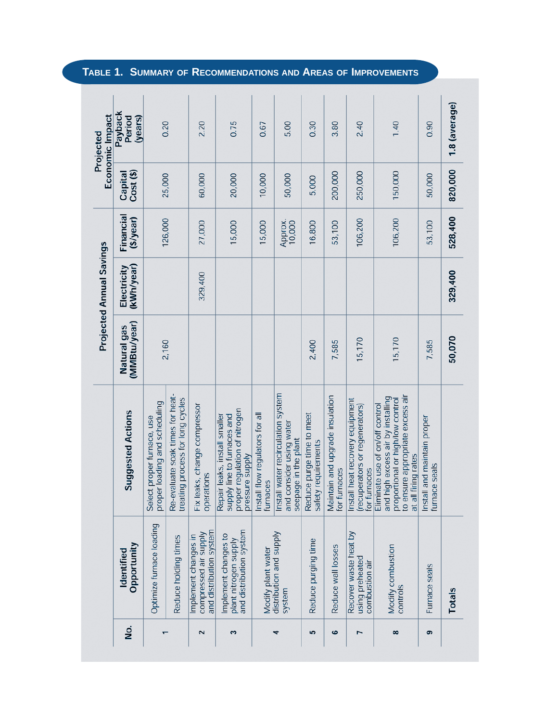|                      |                                                                          |                                                                                                                                                                     |                             | Projected Annual Savings  |                              |                      | Economic Impact<br>Projected |
|----------------------|--------------------------------------------------------------------------|---------------------------------------------------------------------------------------------------------------------------------------------------------------------|-----------------------------|---------------------------|------------------------------|----------------------|------------------------------|
| <u>ş</u>             | Opportunity<br>Identified                                                | <b>Suggested Actions</b>                                                                                                                                            | (MMBtu/year)<br>Natural gas | (kWh/year)<br>Electricity | Financial<br>$($ \$/year $)$ | Cost (\$)<br>Capital | Payback<br>Period<br>(years) |
|                      | Optimize furnace loading                                                 | proper loading and scheduling<br>Select proper furnace, use                                                                                                         | 2,160                       |                           | 126,000                      | 25,000               | 0.20                         |
|                      | Reduce holding times                                                     | Re-evaluate soak times for heat-<br>treating process for long cycles                                                                                                |                             |                           |                              |                      |                              |
| $\mathbf{\tilde{z}}$ | and distribution system<br>compressed air supply<br>Implement changes in | Fix leaks, change compressor<br>operations                                                                                                                          |                             | 329,400                   | 27,000                       | 60,000               | 2.20                         |
| 3                    | and distribution system<br>Implement changes to<br>plant nitrogen supply | proper regulation of nitrogen<br>Repair leaks, install smaller<br>supply line to furnaces and<br>pressure supply                                                    |                             |                           | 15,000                       | 20,000               | 0.75                         |
|                      | Modify plant water                                                       | Install flow regulators for all<br>furnaces                                                                                                                         |                             |                           | 15,000                       | 10,000               | 0.67                         |
| 4                    | distribution and supply<br>system                                        | Install water recirculation system<br>and consider using water<br>seepage in the plant                                                                              |                             |                           | Approx.<br>10,000            | 50,000               | 5.00                         |
| 5                    | Reduce purging time                                                      | Reduce purge time to meet<br>safety requirements                                                                                                                    | 2,400                       |                           | 16,800                       | 5,000                | 0.30                         |
| ဖ                    | Reduce wall losses                                                       | Maintain and upgrade insulation<br>for furnaces                                                                                                                     | 7,585                       |                           | 53,100                       | 200,000              | 3.80                         |
| L                    | Recover waste heat by<br>using preheated<br>combustion air               | Install heat recovery equipment<br>(recuperators or regenerators)<br>for furnaces                                                                                   | 15,170                      |                           | 106,200                      | 250,000              | 2.40                         |
| 8                    | Modify combustion<br>controls                                            | to ensure appropriate excess air<br>and high excess air by installing<br>proportional or high/low control<br>Eliminate use of on/off control<br>at all firing rates | 15,170                      |                           | 106,200                      | 150,000              | 1.40                         |
| ၜ                    | Furnace seals                                                            | Install and maintain proper<br>furnace seals                                                                                                                        | 7,585                       |                           | 53,100                       | 50,000               | 0.90                         |
|                      | Totals                                                                   |                                                                                                                                                                     | 50,070                      | 329,400                   | 528,400                      | 820,000              | 1.8 (average)                |

**TABLE 1. SUMMARY OF RECOMMENDATIONS AND AREAS OF IMPROVEMENTS**